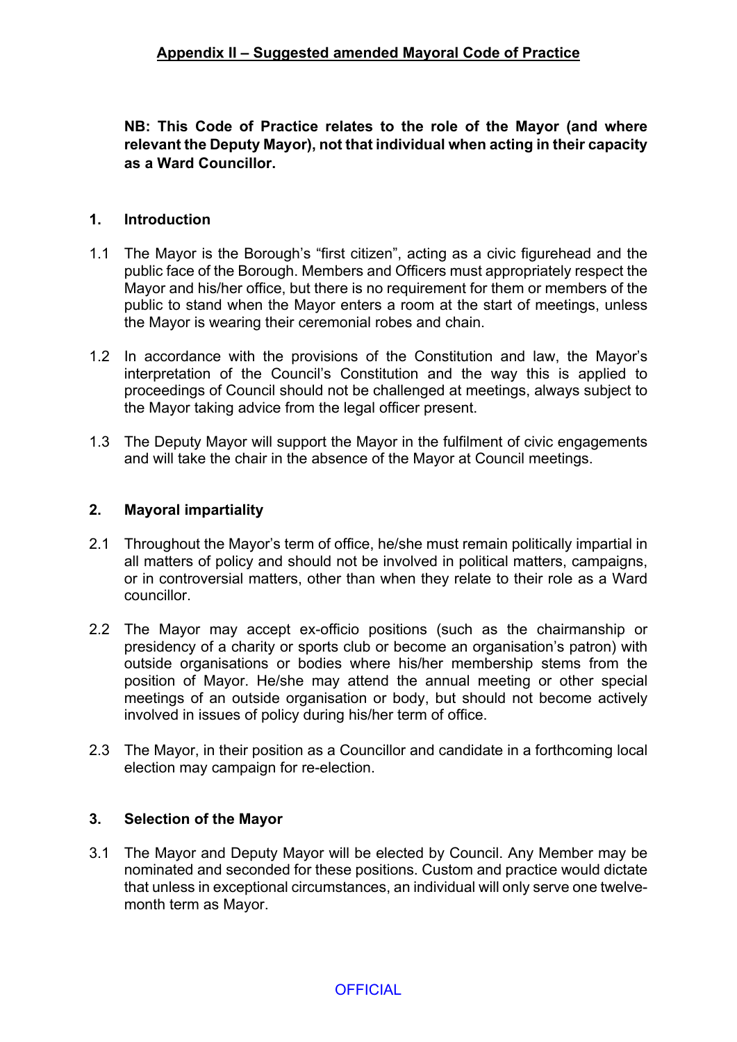**NB: This Code of Practice relates to the role of the Mayor (and where relevant the Deputy Mayor), not that individual when acting in their capacity as a Ward Councillor.**

## **1. Introduction**

- 1.1 The Mayor is the Borough's "first citizen", acting as a civic figurehead and the public face of the Borough. Members and Officers must appropriately respect the Mayor and his/her office, but there is no requirement for them or members of the public to stand when the Mayor enters a room at the start of meetings, unless the Mayor is wearing their ceremonial robes and chain.
- 1.2 In accordance with the provisions of the Constitution and law, the Mayor's interpretation of the Council's Constitution and the way this is applied to proceedings of Council should not be challenged at meetings, always subject to the Mayor taking advice from the legal officer present.
- 1.3 The Deputy Mayor will support the Mayor in the fulfilment of civic engagements and will take the chair in the absence of the Mayor at Council meetings.

## **2. Mayoral impartiality**

- 2.1 Throughout the Mayor's term of office, he/she must remain politically impartial in all matters of policy and should not be involved in political matters, campaigns, or in controversial matters, other than when they relate to their role as a Ward councillor.
- 2.2 The Mayor may accept ex-officio positions (such as the chairmanship or presidency of a charity or sports club or become an organisation's patron) with outside organisations or bodies where his/her membership stems from the position of Mayor. He/she may attend the annual meeting or other special meetings of an outside organisation or body, but should not become actively involved in issues of policy during his/her term of office.
- 2.3 The Mayor, in their position as a Councillor and candidate in a forthcoming local election may campaign for re-election.

### **3. Selection of the Mayor**

3.1 The Mayor and Deputy Mayor will be elected by Council. Any Member may be nominated and seconded for these positions. Custom and practice would dictate that unless in exceptional circumstances, an individual will only serve one twelvemonth term as Mayor.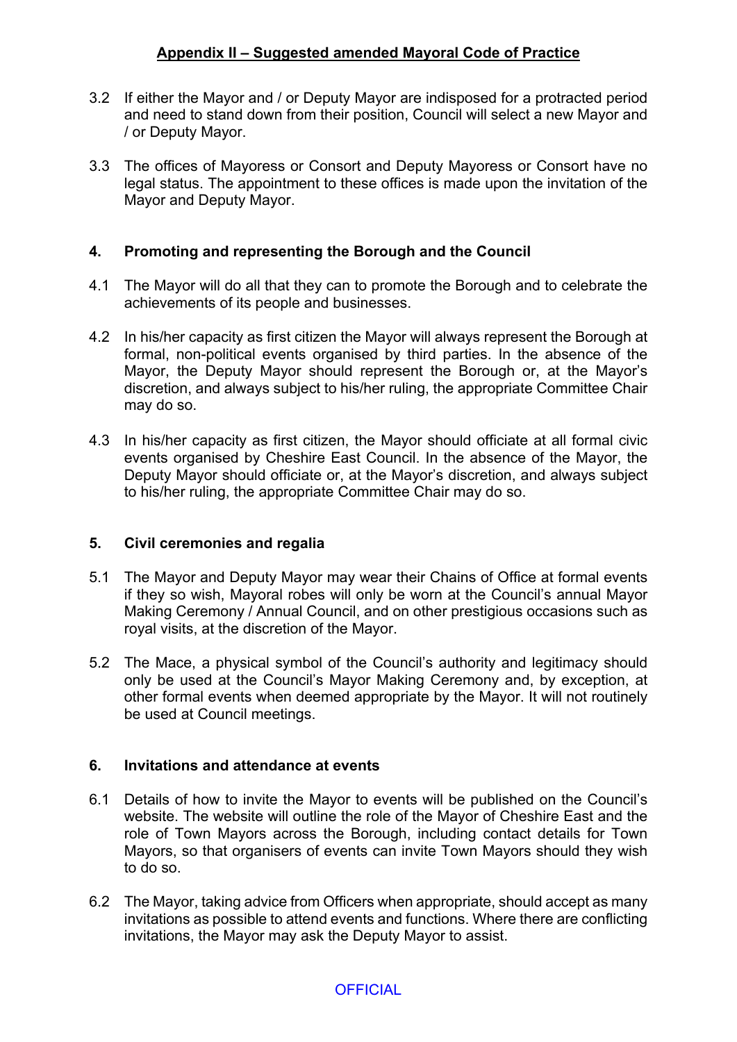# **Appendix II – Suggested amended Mayoral Code of Practice**

- 3.2 If either the Mayor and / or Deputy Mayor are indisposed for a protracted period and need to stand down from their position, Council will select a new Mayor and / or Deputy Mayor.
- 3.3 The offices of Mayoress or Consort and Deputy Mayoress or Consort have no legal status. The appointment to these offices is made upon the invitation of the Mayor and Deputy Mayor.

### **4. Promoting and representing the Borough and the Council**

- 4.1 The Mayor will do all that they can to promote the Borough and to celebrate the achievements of its people and businesses.
- 4.2 In his/her capacity as first citizen the Mayor will always represent the Borough at formal, non-political events organised by third parties. In the absence of the Mayor, the Deputy Mayor should represent the Borough or, at the Mayor's discretion, and always subject to his/her ruling, the appropriate Committee Chair may do so.
- 4.3 In his/her capacity as first citizen, the Mayor should officiate at all formal civic events organised by Cheshire East Council. In the absence of the Mayor, the Deputy Mayor should officiate or, at the Mayor's discretion, and always subject to his/her ruling, the appropriate Committee Chair may do so.

#### **5. Civil ceremonies and regalia**

- 5.1 The Mayor and Deputy Mayor may wear their Chains of Office at formal events if they so wish, Mayoral robes will only be worn at the Council's annual Mayor Making Ceremony / Annual Council, and on other prestigious occasions such as royal visits, at the discretion of the Mayor.
- 5.2 The Mace, a physical symbol of the Council's authority and legitimacy should only be used at the Council's Mayor Making Ceremony and, by exception, at other formal events when deemed appropriate by the Mayor. It will not routinely be used at Council meetings.

### **6. Invitations and attendance at events**

- 6.1 Details of how to invite the Mayor to events will be published on the Council's website. The website will outline the role of the Mayor of Cheshire East and the role of Town Mayors across the Borough, including contact details for Town Mayors, so that organisers of events can invite Town Mayors should they wish to do so.
- 6.2 The Mayor, taking advice from Officers when appropriate, should accept as many invitations as possible to attend events and functions. Where there are conflicting invitations, the Mayor may ask the Deputy Mayor to assist.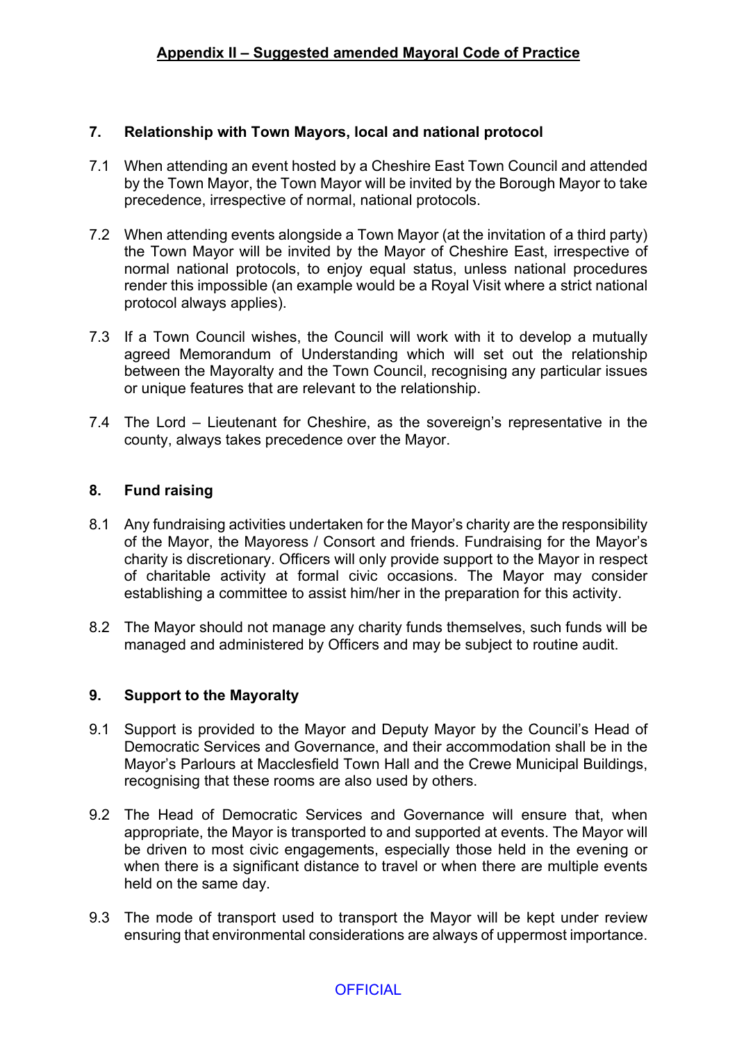### **7. Relationship with Town Mayors, local and national protocol**

- 7.1 When attending an event hosted by a Cheshire East Town Council and attended by the Town Mayor, the Town Mayor will be invited by the Borough Mayor to take precedence, irrespective of normal, national protocols.
- 7.2 When attending events alongside a Town Mayor (at the invitation of a third party) the Town Mayor will be invited by the Mayor of Cheshire East, irrespective of normal national protocols, to enjoy equal status, unless national procedures render this impossible (an example would be a Royal Visit where a strict national protocol always applies).
- 7.3 If a Town Council wishes, the Council will work with it to develop a mutually agreed Memorandum of Understanding which will set out the relationship between the Mayoralty and the Town Council, recognising any particular issues or unique features that are relevant to the relationship.
- 7.4 The Lord Lieutenant for Cheshire, as the sovereign's representative in the county, always takes precedence over the Mayor.

# **8. Fund raising**

- 8.1 Any fundraising activities undertaken for the Mayor's charity are the responsibility of the Mayor, the Mayoress / Consort and friends. Fundraising for the Mayor's charity is discretionary. Officers will only provide support to the Mayor in respect of charitable activity at formal civic occasions. The Mayor may consider establishing a committee to assist him/her in the preparation for this activity.
- 8.2 The Mayor should not manage any charity funds themselves, such funds will be managed and administered by Officers and may be subject to routine audit.

### **9. Support to the Mayoralty**

- 9.1 Support is provided to the Mayor and Deputy Mayor by the Council's Head of Democratic Services and Governance, and their accommodation shall be in the Mayor's Parlours at Macclesfield Town Hall and the Crewe Municipal Buildings, recognising that these rooms are also used by others.
- 9.2 The Head of Democratic Services and Governance will ensure that, when appropriate, the Mayor is transported to and supported at events. The Mayor will be driven to most civic engagements, especially those held in the evening or when there is a significant distance to travel or when there are multiple events held on the same day.
- 9.3 The mode of transport used to transport the Mayor will be kept under review ensuring that environmental considerations are always of uppermost importance.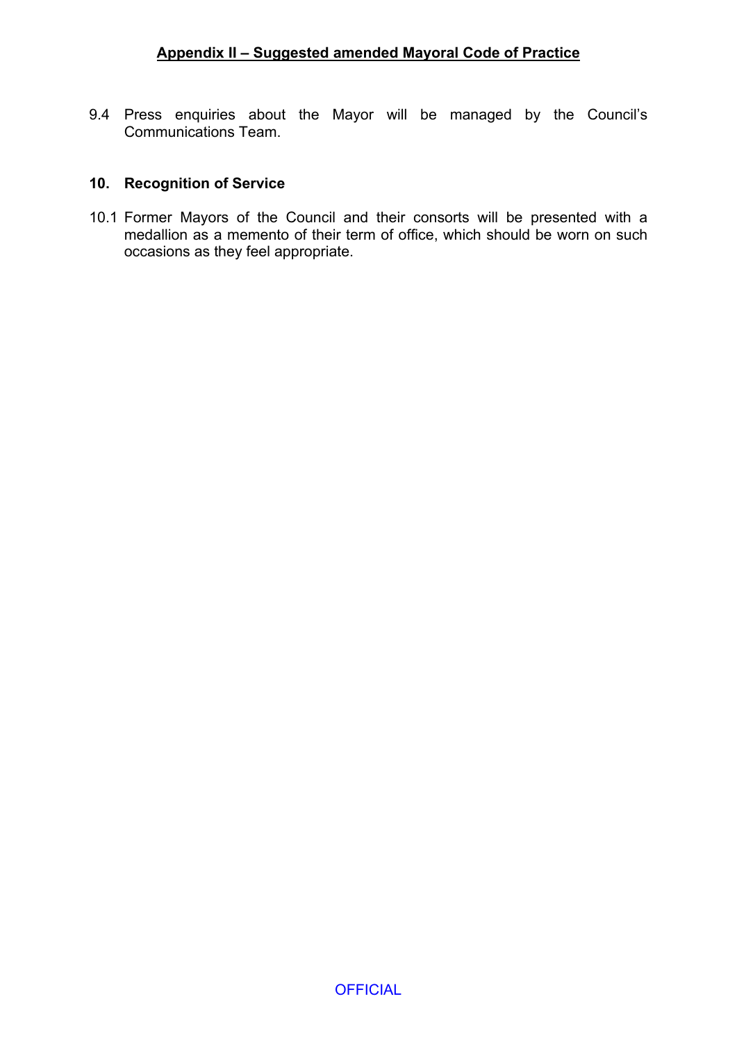9.4 Press enquiries about the Mayor will be managed by the Council's Communications Team.

### **10. Recognition of Service**

10.1 Former Mayors of the Council and their consorts will be presented with a medallion as a memento of their term of office, which should be worn on such occasions as they feel appropriate.